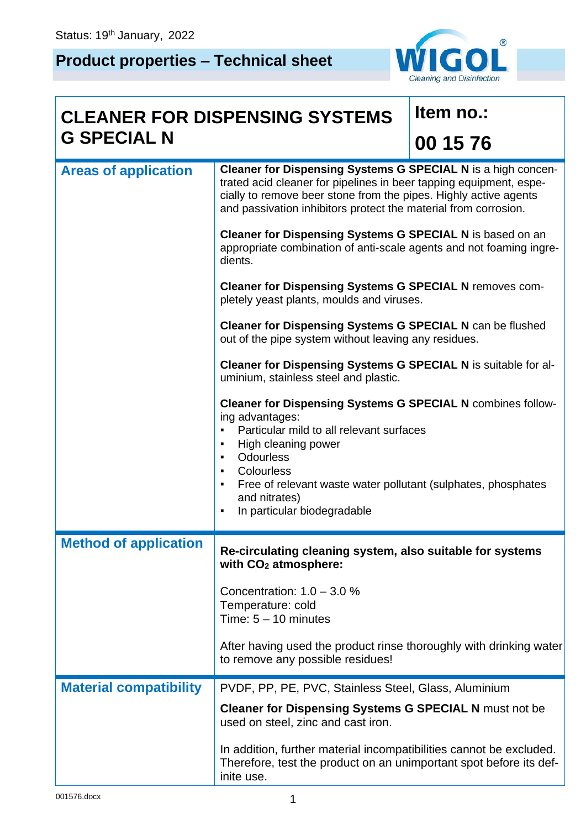# **Product properties – Technical sheet**



# **CLEANER FOR DISPENSING SYSTEMS G SPECIAL N**

## **Item no.:**

# **00 15 76**

| <b>Areas of application</b>   | Cleaner for Dispensing Systems G SPECIAL N is a high concen-<br>trated acid cleaner for pipelines in beer tapping equipment, espe-<br>cially to remove beer stone from the pipes. Highly active agents<br>and passivation inhibitors protect the material from corrosion.<br>Cleaner for Dispensing Systems G SPECIAL N is based on an<br>appropriate combination of anti-scale agents and not foaming ingre-<br>dients.<br><b>Cleaner for Dispensing Systems G SPECIAL N removes com-</b><br>pletely yeast plants, moulds and viruses.<br><b>Cleaner for Dispensing Systems G SPECIAL N can be flushed</b><br>out of the pipe system without leaving any residues.<br>Cleaner for Dispensing Systems G SPECIAL N is suitable for al-<br>uminium, stainless steel and plastic.<br><b>Cleaner for Dispensing Systems G SPECIAL N combines follow-</b><br>ing advantages:<br>Particular mild to all relevant surfaces<br>$\blacksquare$<br>High cleaning power<br>$\blacksquare$<br>Odourless<br>$\blacksquare$<br>Colourless<br>$\blacksquare$ |  |  |  |
|-------------------------------|-----------------------------------------------------------------------------------------------------------------------------------------------------------------------------------------------------------------------------------------------------------------------------------------------------------------------------------------------------------------------------------------------------------------------------------------------------------------------------------------------------------------------------------------------------------------------------------------------------------------------------------------------------------------------------------------------------------------------------------------------------------------------------------------------------------------------------------------------------------------------------------------------------------------------------------------------------------------------------------------------------------------------------------------------|--|--|--|
|                               | Free of relevant waste water pollutant (sulphates, phosphates<br>and nitrates)<br>In particular biodegradable<br>$\blacksquare$                                                                                                                                                                                                                                                                                                                                                                                                                                                                                                                                                                                                                                                                                                                                                                                                                                                                                                               |  |  |  |
| <b>Method of application</b>  | Re-circulating cleaning system, also suitable for systems<br>with CO <sub>2</sub> atmosphere:                                                                                                                                                                                                                                                                                                                                                                                                                                                                                                                                                                                                                                                                                                                                                                                                                                                                                                                                                 |  |  |  |
|                               | Concentration: $1.0 - 3.0$ %<br>Temperature: cold<br>Time: $5 - 10$ minutes                                                                                                                                                                                                                                                                                                                                                                                                                                                                                                                                                                                                                                                                                                                                                                                                                                                                                                                                                                   |  |  |  |
|                               | After having used the product rinse thoroughly with drinking water<br>to remove any possible residues!                                                                                                                                                                                                                                                                                                                                                                                                                                                                                                                                                                                                                                                                                                                                                                                                                                                                                                                                        |  |  |  |
| <b>Material compatibility</b> | PVDF, PP, PE, PVC, Stainless Steel, Glass, Aluminium                                                                                                                                                                                                                                                                                                                                                                                                                                                                                                                                                                                                                                                                                                                                                                                                                                                                                                                                                                                          |  |  |  |
|                               | <b>Cleaner for Dispensing Systems G SPECIAL N must not be</b><br>used on steel, zinc and cast iron.                                                                                                                                                                                                                                                                                                                                                                                                                                                                                                                                                                                                                                                                                                                                                                                                                                                                                                                                           |  |  |  |
|                               | In addition, further material incompatibilities cannot be excluded.<br>Therefore, test the product on an unimportant spot before its def-<br>inite use.                                                                                                                                                                                                                                                                                                                                                                                                                                                                                                                                                                                                                                                                                                                                                                                                                                                                                       |  |  |  |